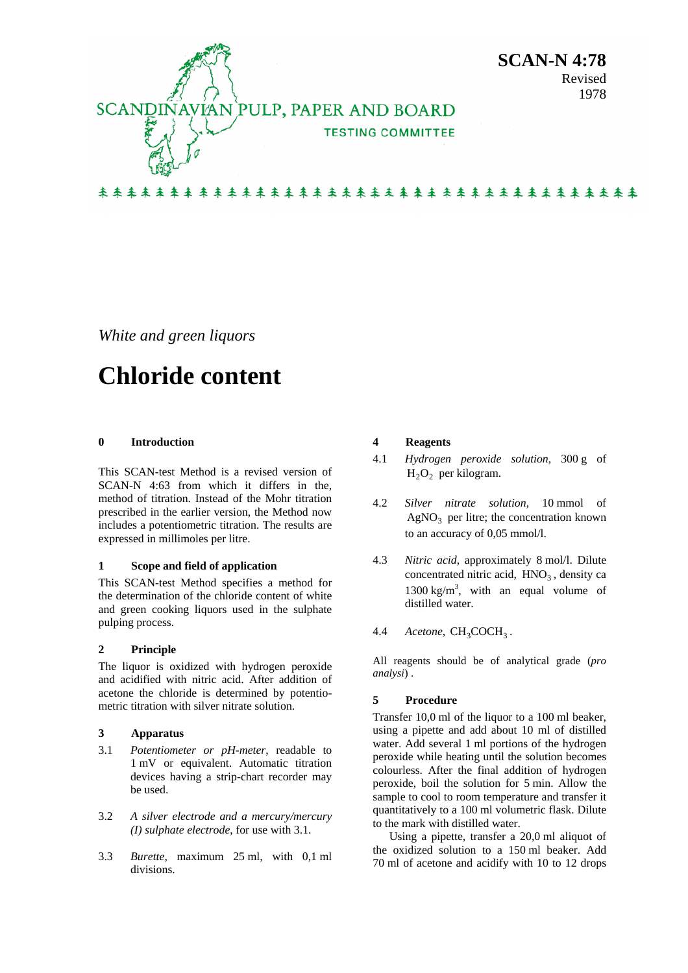

*White and green liquors* 

# **Chloride content**

## **0 Introduction**

This SCAN-test Method is a revised version of SCAN-N 4:63 from which it differs in the, method of titration. Instead of the Mohr titration prescribed in the earlier version, the Method now includes a potentiometric titration. The results are expressed in millimoles per litre.

## **1 Scope and field of application**

This SCAN-test Method specifies a method for the determination of the chloride content of white and green cooking liquors used in the sulphate pulping process.

## **2 Principle**

The liquor is oxidized with hydrogen peroxide and acidified with nitric acid. After addition of acetone the chloride is determined by potentiometric titration with silver nitrate solution.

## **3 Apparatus**

- 3.1 *Potentiometer or pH-meter*, readable to 1 mV or equivalent. Automatic titration devices having a strip-chart recorder may be used.
- 3.2 *A silver electrode and a mercury/mercury (I) sulphate electrode*, for use with 3.1.
- 3.3 *Burette*, maximum 25 ml, with 0,1 ml divisions.

## **4 Reagents**

- 4.1 *Hydrogen peroxide solution*, 300 g of  $H_2O_2$  per kilogram.
- 4.2 *Silver nitrate solution*, 10 mmol of  $AgNO<sub>3</sub>$  per litre; the concentration known to an accuracy of 0,05 mmol/l.
- 4.3 *Nitric acid*, approximately 8 mol/l. Dilute concentrated nitric acid,  $HNO<sub>3</sub>$ , density ca 1300 kg/m<sup>3</sup>, with an equal volume of distilled water.
- 4.4 *Acetone*, CH<sub>3</sub>COCH<sub>3</sub>.

All reagents should be of analytical grade (*pro analysi*) .

## **5 Procedure**

Transfer 10,0 ml of the liquor to a 100 ml beaker, using a pipette and add about 10 ml of distilled water. Add several 1 ml portions of the hydrogen peroxide while heating until the solution becomes colourless. After the final addition of hydrogen peroxide, boil the solution for 5 min. Allow the sample to cool to room temperature and transfer it quantitatively to a 100 ml volumetric flask. Dilute to the mark with distilled water.

Using a pipette, transfer a 20,0 ml aliquot of the oxidized solution to a 150 ml beaker. Add 70 ml of acetone and acidify with 10 to 12 drops